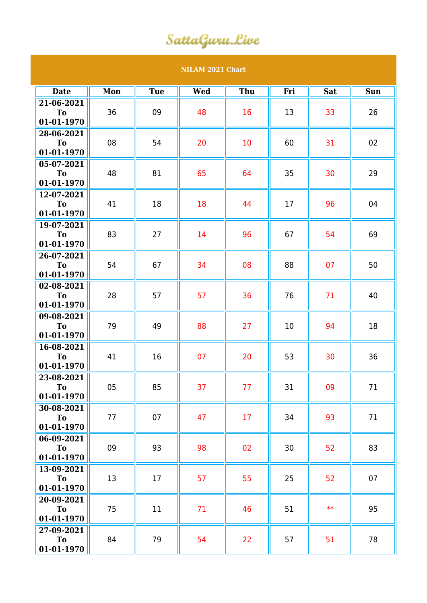## SattaGuru.Live

## **NILAM 2021 Chart Date Mon Tue Wed Thu Fri Sat Sun 21-06-2021 To 01-01-1970** 36 || 09 || 48 || 16 || 13 || 33 || 26 **28-06-2021 To 01-01-1970** 08 || 54 || 20 || 10 || 60 || 31 || 02 **05-07-2021 To 01-01-1970** 48 || 81 || 65 || 64 || 35 || 30 || 29 **12-07-2021 To 01-01-1970** 41 || 18 || 18 || 44 || 17 || 96 || 04 **19-07-2021 To 01-01-1970** 83 || 27 || 14 || 96 || 67 || 54 || 69 **26-07-2021 To 01-01-1970** 54 || 67 || 34 || 08 || 88 || 07 || 50 **02-08-2021 To 01-01-1970** 28 || 57 || 57 || 36 || 76 || 71 || 40 **09-08-2021 To 01-01-1970** 79 || 49 || 88 || 27 || 10 || 94 || 18 **16-08-2021 To 01-01-1970** 41 || 16 || 07 || 20 || 53 || 30 || 36 **23-08-2021 To 01-01-1970** 05 || 85 || 37 || 77 || 31 || 09 || 71 **30-08-2021 To 01-01-1970** 77 07 47 17 34 93 71 **06-09-2021 To 01-01-1970** 09 || 93 || 98 || 02 || 30 || 52 || 83 **13-09-2021 To 01-01-1970** 13 || 17 || 57 || 55 || 25 || 52 || 07 **20-09-2021 To 01-01-1970** 75 || 11 || 71 || 46 || 51 || \*\* || 95 **27-09-2021 To 01-01-1970** 84 || 79 || 54 || 22 || 57 || 51 || 78